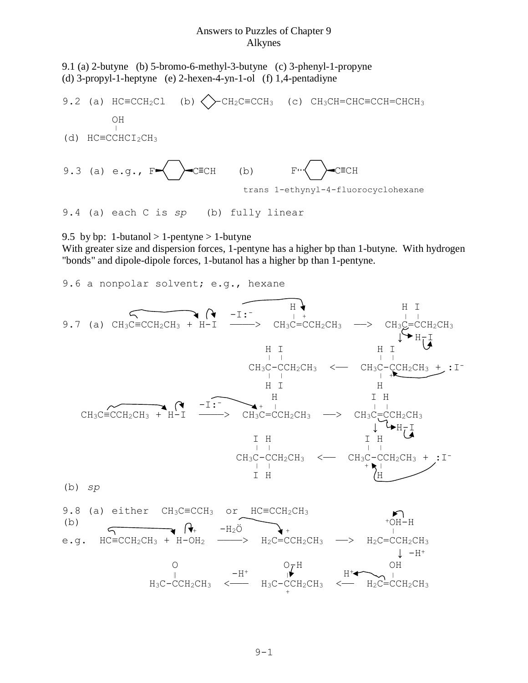## Answers to Puzzles of Chapter 9 Alkynes

9.1 (a) 2-butyne (b) 5-bromo-6-methyl-3-butyne (c) 3-phenyl-1-propyne (d) 3-propyl-1-heptyne (e) 2-hexen-4-yn-1-ol (f) 1,4-pentadiyne

9.2 (a) 
$$
HC \equiv CCH_2Cl
$$
 (b)  $\bigotimes$ - $CH_2C \equiv CCH_3$  (c)  $CH_3CH = CHC \equiv CCH = CHCH_3$ 

\n(d)  $HC \equiv CCHC I_2CH_3$ 

\n9.3 (a) e.g.,  $F \bigotimes$ - $C \equiv CH$  (b)  $F \bigotimes$ - $C \equiv CH$  trans 1-ethynyl-4-fluorocyclohexane

9.4 (a) each C is *sp* (b) fully linear

9.5 by bp: 1-butanol  $> 1$ -pentyne  $> 1$ -butyne

With greater size and dispersion forces, 1-pentyne has a higher bp than 1-butyne. With hydrogen "bonds" and dipole-dipole forces, 1-butanol has a higher bp than 1-pentyne.

9.6 a nonpolar solvent; e.g., hexane

9.7 (a) 
$$
CH_3C=CCH_2CH_3 + H-T
$$
  
\n $CH_3C=CCH_2CH_3 + H-T$   
\n $CH_3C=CCH_2CH_3 + H-T$   
\n $CH_3C-CH_2CH_3$   
\n $CH_3C-CCH_2CH_3$   
\n $CH_3C-CCH_2CH_3$   
\n $CH_3C-CH_2CH_3$   
\n $CH_3C-CH_2CH_3$   
\n $CH_3C-CH_2CH_3$   
\n $CH_3C-CH_2CH_3$   
\n $CH_3C-CCH_2CH_3$   
\n $CH_3C-CH_2CH_3$   
\n $CH_3C-CH_2CH_3$   
\n $CH_3C-CCH_2CH_3$   
\n $CH_3C-CH_2CH_3$   
\n $CH_3C-CH_2CH_3$   
\n $CH_3C-CH_2CH_3$   
\n $CH_3C-CH_2CH_3$   
\n $CH_3C-CH_2CH_3$   
\n $CH_3C-CH_2CH_3$   
\n $CH_3C-CH_2CH_3$   
\n $CH_3C-CH_2CH_3$   
\n $CH_3C-CH_2CH_3$   
\n $CH_3C-CH_2CH_3$   
\n $CH_3C-CH_2CH_3$   
\n $CH_3C-CH_2CH_3$   
\n $CH_3C-CH_2CH_3$   
\n $CH_3C-CH_2CH_3$   
\n $CH_3C-CH_2CH_3$   
\n $CH_3C-CH_2CH_3$   
\n $CH_3C-CH_2CH_3$   
\n $CH_3C-CH_2CH_3$   
\n $CH_3C-CH_2CH_3$   
\n $CH_3C-CH_2CH_3$   
\n $CH_3C-CH_2CH_3$   
\n $CH_3C-CH_2CH_3$   
\n $CH_3C-CH_2CH_3$   
\n $$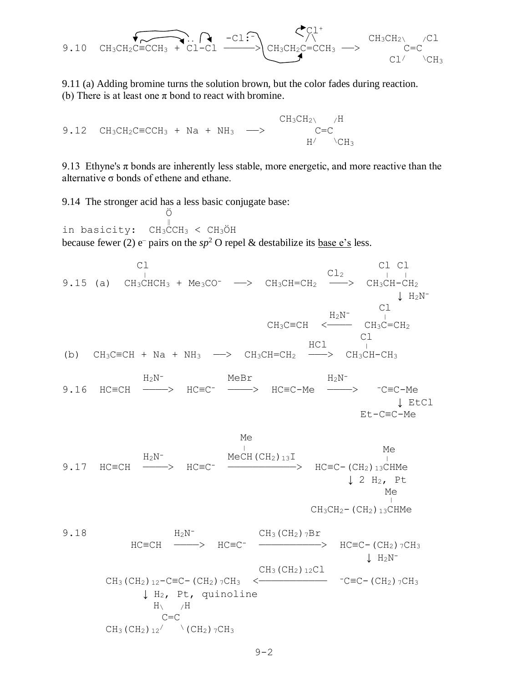$$
\underbrace{\bullet}_{\text{CH}_3\text{CH}_2\text{C}\equiv\text{CCH}_3} \underbrace{\bullet}_{\text{CL-CL}} \underbrace{\bullet}_{\text{CL-CL}} \underbrace{\bullet}_{\text{CH}_3\text{CH}_2\text{C}\equiv\text{CCH}_3} \xrightarrow{\text{CH}_3\text{CH}_2\text{C}\text{C}} \underbrace{\text{CH}_3\text{CH}_2\text{C}\text{C}}_{\text{CL}^{\prime}\text{CH}_3\text{CH}_2}
$$

9.11 (a) Adding bromine turns the solution brown, but the color fades during reaction. (b) There is at least one  $\pi$  bond to react with bromine.

 $CH_3CH_2\qquad H$ 9.12  $CH_3CH_2C \equiv CCH_3 + Na + NH_3 \longrightarrow$  C=C  $H/$   $\angle$ CH<sub>3</sub>

9.13 Ethyne's  $\pi$  bonds are inherently less stable, more energetic, and more reactive than the alternative σ bonds of ethene and ethane.

9.14 The stronger acid has a less basic conjugate base: **ÖSTER STARBUNDER** 

‖ in basicity: CH3CCH<sup>3</sup> < CH3ÖH because fewer (2)  $e^-$  pairs on the  $sp^2$  O repel & destabilize its base e's less.



9.17 
$$
HC=CH \xrightarrow{H_2N^-}
$$
  $HC=CC$   $\xrightarrow{MeCH (CH_2)_{13}I}$   $HC=CC-(CH_2)_{13}CHMe$   
\n $\downarrow$  2  $H_2$ ,  $Pt$   
\n $\searrow$   $CH_3CH_2-(CH_2)_{13}CHMe$   
\n9.18  $H_2N^ CH_3(CH_2)_{7}Br$ 

Et-C≡C-Me

$$
H = CH \xrightarrow{H_{2N}} HC = C^{-} \xrightarrow{CH_{3}(CH_{2}) \text{ 7D L}}
$$
\n
$$
HC = CH \xrightarrow{C} HC_{3}(CH_{2}) \text{ 12C1}
$$
\n
$$
CH_{3}(CH_{2}) \text{ 12-C=C-(CH_{2}) \text{ 7CH}_{3} < \xrightarrow{CH_{3}(CH_{2}) \text{ 12C1}}
$$
\n
$$
H_{2}, \text{ Pt}, \text{ quinoline}
$$
\n
$$
H_{1}/H
$$
\n
$$
C = C
$$
\n
$$
CH_{3}(CH_{2}) \text{ 12'} \qquad (CH_{2}) \text{ 7CH}_{3}
$$
\n
$$
CH_{3}(CH_{2}) \text{ 12'} \qquad (CH_{2}) \text{ 7CH}_{3}
$$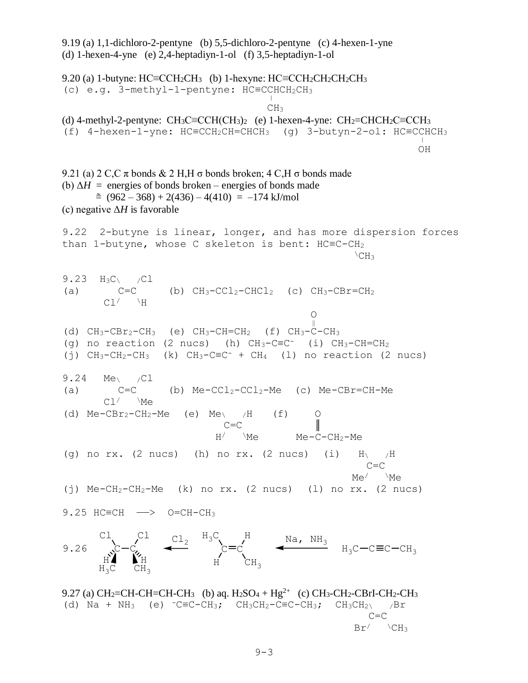9.19 (a) 1,1-dichloro-2-pentyne (b) 5,5-dichloro-2-pentyne (c) 4-hexen-1-yne (d) 1-hexen-4-yne (e) 2,4-heptadiyn-1-ol (f) 3,5-heptadiyn-1-ol 9.20 (a) 1-butyne:  $HC = CCH_2CH_3$  (b) 1-hexyne:  $HC = CCH_2CH_2CH_2CH_3$ (c) e.g. 3-methyl-1-pentyne: HC≡CCHCH<sub>2</sub>CH<sub>3</sub> **CH<sub>3</sub>** (d) 4-methyl-2-pentyne:  $CH_3C \equiv CCH(CH_3)$  (e) 1-hexen-4-yne:  $CH_2 \equiv CHCH_2C \equiv CCH_3$ (f) 4-hexen-1-yne:  $HC = CCH_2CH = CHCH_3$  (g) 3-butyn-2-ol:  $HC = CCHCH_3$  OH 9.21 (a) 2 C,C  $\pi$  bonds & 2 H,H  $\sigma$  bonds broken; 4 C,H  $\sigma$  bonds made (b)  $\Delta H$  = energies of bonds broken – energies of bonds made  $\approx$  (962 – 368) + 2(436) – 4(410) = –174 kJ/mol (c) negative Δ*H* is favorable 9.22 2-butyne is linear, longer, and has more dispersion forces than 1-butyne, whose C skeleton is bent: HC≡C-CH<sup>2</sup>  $\angle$ CH<sub>3</sub> 9.23  $H_3C$  /Cl (a)  $C=C$  (b)  $CH_3-CCl_2-CHCl_2$  (c)  $CH_3-CBr=CH_2$  $Cl$   $\vee$   $H$  O  $\frac{8}{10}$ (d)  $CH_3-CBr_2-CH_3$  (e)  $CH_3-CH=CH_2$  (f)  $CH_3-C-CH_3$ (g) no reaction (2 nucs) (h)  $CH_3-CEC^-$  (i)  $CH_3-CH=CH_2$ (j)  $CH_3-CH_2-CH_3$  (k)  $CH_3-CEC^-$  +  $CH_4$  (l) no reaction (2 nucs) 9.24 Me\ /Cl (a)  $C=C$  (b)  $Me-CCl_2-CCl_2-Me$  (c)  $Me-CBr=CH-Me$  $Cl'$  \Me (d)  $Me-CBr_2-CH_2-Me$  (e)  $Me<sub>\lambda</sub>$  /H (f)  $C=C$  $H$  Me Me-C-CH<sub>2</sub>-Me (g) no rx. (2 nucs) (h) no rx. (2 nucs) (i)  $H\left(\right)$  /H C=C  $Me$   $Me$   $Me$   $Me$ (i)  $Me-CH_2-CH_2-Me$  (k) no rx. (2 nucs) (l) no rx. (2 nucs) 9.25 HC≡CH —> O=CH-CH<sub>3</sub>  $C = C$   $\leftarrow$   $H_3C - C \equiv C - CH_3$ H  $\mathtt{CH}_3$  ${\tt H_3C}$ H  $\mathtt{cl}_2$  $\mathrm{c}{-}\mathrm{c}$ Cl Cl H H  $H_3C$ 9.26 Na, NH $_{\rm 3}$ 9.27 (a) CH<sub>2</sub>=CH-CH=CH-CH<sub>3</sub> (b) aq. H<sub>2</sub>SO<sub>4</sub> + Hg<sup>2+</sup> (c) CH<sub>3</sub>-CH<sub>2</sub>-CBrI-CH<sub>2</sub>-CH<sub>3</sub> (d) Na + NH<sub>3</sub> (e)  $-C\equiv C-CH_3$ ;  $CH_3CH_2-C\equiv C-CH_3$ ;  $CH_3CH_2\backslash$  /Br C=C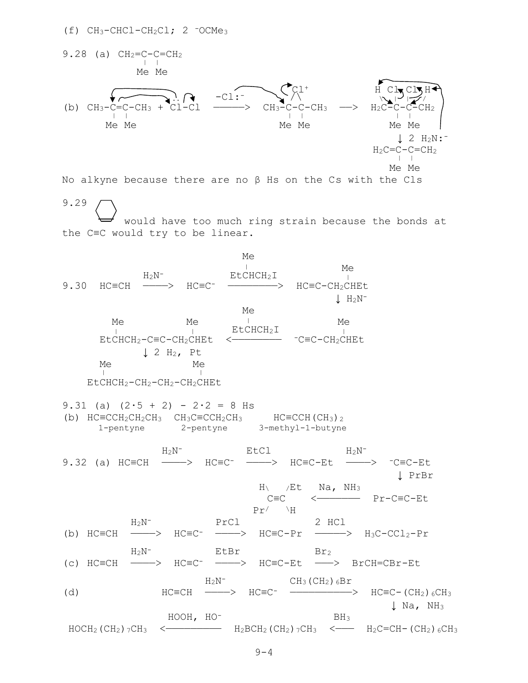$(f)$  CH<sub>3</sub>-CHCl-CH<sub>2</sub>Cl; 2  $\overline{O}$ CMe<sub>3</sub>



HOCH2(CH2)7CH3 <————————— H2BCH2(CH2)7CH3 <——— H2C=CH-(CH2)6CH3